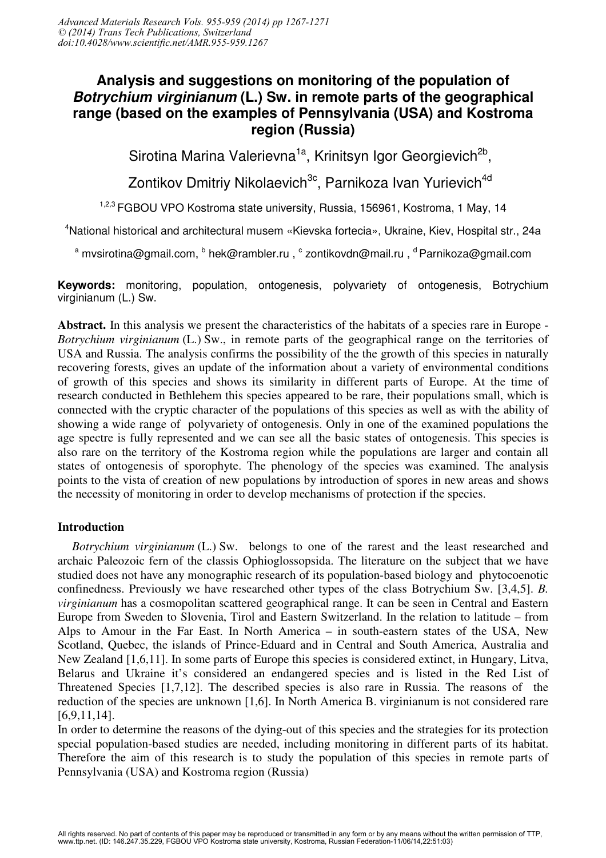# **Analysis and suggestions on monitoring of the population of**  *Botrychium virginianum* **(L.) Sw. in remote parts of the geographical range (based on the examples of Pennsylvania (USA) and Kostroma region (Russia)**

Sirotina Marina Valerievna<sup>1a</sup>, Krinitsyn Igor Georgievich<sup>2b</sup>,

Zontikov Dmitriy Nikolaevich<sup>3c</sup>, Parnikoza Ivan Yurievich<sup>4d</sup>

<sup>1,2,3</sup> FGBOU VPO Kostroma state university, Russia, 156961, Kostroma, 1 May, 14

<sup>4</sup>National historical and architectural musem «Kievska fortecia», Ukraine, Kiev, Hospital str., 24а

<sup>a</sup> mvsirotina@gmail.com, <sup>b</sup> hek@rambler.ru, <sup>c</sup> zontikovdn@mail.ru, <sup>d</sup> Parnikoza@gmail.com

**Keywords:** monitoring, population, ontogenesis, polyvariety of ontogenesis, Botrychium virginianum (L.) Sw.

Abstract. In this analysis we present the characteristics of the habitats of a species rare in Europe - *Botrychium virginianum* (L.) Sw., in remote parts of the geographical range on the territories of USA and Russia. The analysis confirms the possibility of the the growth of this species in naturally recovering forests, gives an update of the information about a variety of environmental conditions of growth of this species and shows its similarity in different parts of Europe. At the time of research conducted in Bethlehem this species appeared to be rare, their populations small, which is connected with the cryptic character of the populations of this species as well as with the ability of showing a wide range of polyvariety of ontogenesis. Only in one of the examined populations the age spectre is fully represented and we can see all the basic states of ontogenesis. This species is also rare on the territory of the Kostroma region while the populations are larger and contain all states of ontogenesis of sporophyte. The phenology of the species was examined. The analysis points to the vista of creation of new populations by introduction of spores in new areas and shows the necessity of monitoring in order to develop mechanisms of protection if the species.

## Introduction

*Botrychium virginianum* (L.) Sw. belongs to one of the rarest and the least researched and archaic Paleozoic fern of the classis Ophioglossopsida. The literature on the subject that we have studied does not have any monographic research of its population-based biology and phytocoenotic confinedness. Previously we have researched other types of the class Botrychium Sw. [3,4,5]. *B. virginianum* has a cosmopolitan scattered geographical range. It can be seen in Central and Eastern Europe from Sweden to Slovenia, Tirol and Eastern Switzerland. In the relation to latitude – from Alps to Amour in the Far East. In North America – in south-eastern states of the USA, New Scotland, Quebec, the islands of Prince-Eduard and in Central and South America, Australia and New Zealand [1,6,11]. In some parts of Europe this species is considered extinct, in Hungary, Litva, Belarus and Ukraine it's considered an endangered species and is listed in the Red List of Threatened Species [1,7,12]. The described species is also rare in Russia. The reasons of the reduction of the species are unknown [1,6]. In North America B. virginianum is not considered rare [6,9,11,14].

In order to determine the reasons of the dying-out of this species and the strategies for its protection special population-based studies are needed, including monitoring in different parts of its habitat. Therefore the aim of this research is to study the population of this species in remote parts of Pennsylvania (USA) and Kostroma region (Russia)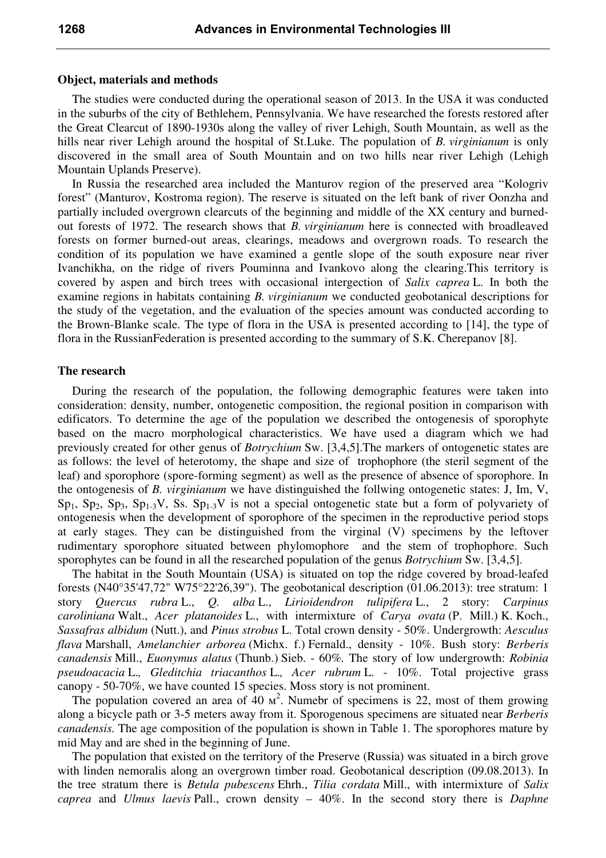### Object, materials and methods

The studies were conducted during the operational season of 2013. In the USA it was conducted in the suburbs of the city of Bethlehem, Pennsylvania. We have researched the forests restored after the Great Clearcut of 1890-1930s along the valley of river Lehigh, South Mountain, as well as the hills near river Lehigh around the hospital of St.Luke. The population of *B. virginianum* is only discovered in the small area of South Mountain and on two hills near river Lehigh (Lehigh Mountain Uplands Preserve).

In Russia the researched area included the Manturov region of the preserved area "Kologriv forest" (Manturov, Kostroma region). The reserve is situated on the left bank of river Oonzha and partially included overgrown clearcuts of the beginning and middle of the XX century and burnedout forests of 1972. The research shows that *B. virginianum* here is connected with broadleaved forests on former burned-out areas, clearings, meadows and overgrown roads. To research the condition of its population we have examined a gentle slope of the south exposure near river Ivanchikha, on the ridge of rivers Pouminna and Ivankovo along the clearing.This territory is covered by aspen and birch trees with occasional intergection of *Salix caprea* L. In both the examine regions in habitats containing *B. virginianum* we conducted geobotanical descriptions for the study of the vegetation, and the evaluation of the species amount was conducted according to the Brown-Blanke scale. The type of flora in the USA is presented according to [14], the type of flora in the RussianFederation is presented according to the summary of S.K. Cherepanov [8].

### The research

During the research of the population, the following demographic features were taken into consideration: density, number, ontogenetic composition, the regional position in comparison with edificators. To determine the age of the population we described the ontogenesis of sporophyte based on the macro morphological characteristics. We have used a diagram which we had previously created for other genus of *Botrychium* Sw. [3,4,5].The markers of ontogenetic states are as follows: the level of heterotomy, the shape and size of trophophore (the steril segment of the leaf) and sporophore (spore-forming segment) as well as the presence of absence of sporophore. In the ontogenesis of *B. virginianum* we have distinguished the follwing ontogenetic states: J, Im, V,  $Sp_1$ ,  $Sp_2$ ,  $Sp_3$ ,  $Sp_{1-3}V$ , Ss.  $Sp_{1-3}V$  is not a special ontogenetic state but a form of polyvariety of ontogenesis when the development of sporophore of the specimen in the reproductive period stops at early stages. They can be distinguished from the virginal (V) specimens by the leftover rudimentary sporophore situated between phylomophore and the stem of trophophore. Such sporophytes can be found in all the researched population of the genus *Botrychium* Sw. [3,4,5].

The habitat in the South Mountain (USA) is situated on top the ridge covered by broad-leafed forests (N40°35'47,72" W75°22'26,39"). The geobotanical description (01.06.2013): tree stratum: 1 story *Quercus rubra* L., *Q. alba* L., *Lirioidendron tulipifera* L., 2 story: *Carpinus caroliniana* Walt., *Acer platanoides* L., with intermixture of *Carya ovata* (P. Mill.) K. Koch., *Sassafras albidum* (Nutt.), and *Pinus strobus* L. Total crown density - 50%. Undergrowth: *Aesculus flava* Marshall, *Amelanchier arborea* (Michx. f.) Fernald., density - 10%. Bush story: *Berberis canadensis* Mill., *Euonymus alatus* (Thunb.) Sieb. - 60%*.* The story of low undergrowth: *Robinia pseudoacacia* L.*, Gleditchia triacanthos* L.*, Acer rubrum* L. - 10%. Total projective grass canopy - 50-70%, we have counted 15 species. Moss story is not prominent.

The population covered an area of  $40 \text{ m}^2$ . Numebr of specimens is 22, most of them growing along a bicycle path or 3-5 meters away from it. Sporogenous specimens are situated near *Berberis canadensis.* The age composition of the population is shown in Table 1. The sporophores mature by mid May and are shed in the beginning of June.

The population that existed on the territory of the Preserve (Russia) was situated in a birch grove with linden nemoralis along an overgrown timber road. Geobotanical description (09.08.2013). In the tree stratum there is *Betula pubescens* Ehrh., *Tilia cordata* Mill., with intermixture of *Salix caprea* and *Ulmus laevis* Pall., crown density – 40%. In the second story there is *Daphne*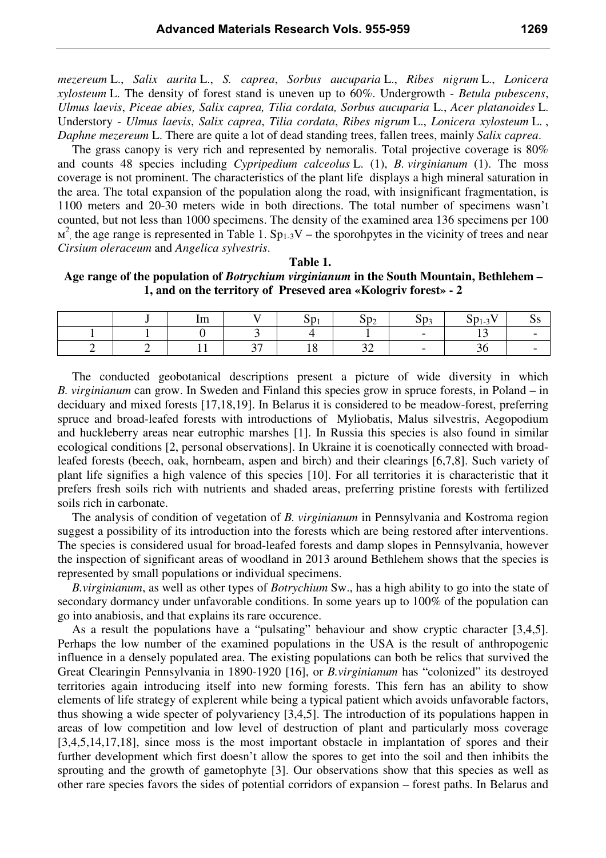*mezereum* L., *Salix aurita* L., *S. caprea*, *Sorbus aucuparia* L., *Ribes nigrum* L., *Lonicera xylosteum* L. The density of forest stand is uneven up to 60%. Undergrowth - *Betula pubescens*, *Ulmus laevis*, *Piceae abies, Salix caprea, Tilia cordata, Sorbus aucuparia* L., *Acer platanoides* L. Understory - *Ulmus laevis*, *Salix caprea*, *Tilia cordata*, *Ribes nigrum* L., *Lonicera xylosteum* L. , *Daphne mezereum* L. There are quite a lot of dead standing trees, fallen trees, mainly *Salix caprea*.

The grass canopy is very rich and represented by nemoralis. Total projective coverage is 80% and counts 48 species including *Cypripedium calceolus* L. (1), *B. virginianum* (1). The moss coverage is not prominent. The characteristics of the plant life displays a high mineral saturation in the area. The total expansion of the population along the road, with insignificant fragmentation, is 1100 meters and 20-30 meters wide in both directions. The total number of specimens wasn't counted, but not less than 1000 specimens. The density of the examined area 136 specimens per 100  $M^2$ , the age range is represented in Table 1. Sp<sub>1-3</sub>V – the sporohpytes in the vicinity of trees and near *Cirsium oleraceum* and *Angelica sylvestris*.

#### Table 1.

Age range of the population of *Botrychium virginianum* in the South Mountain, Bethlehem – 1, and on the territory of Preseved area «Kologriv forest» - 2

|  | Im  | - -        | ►∠ | ັ      | T<br>1-9<br>~ |  |
|--|-----|------------|----|--------|---------------|--|
|  |     |            |    | $\sim$ |               |  |
|  | . . | $\sim$ $-$ | ັ້ |        | $\sim$        |  |

The conducted geobotanical descriptions present a picture of wide diversity in which *B. virginianum* can grow. In Sweden and Finland this species grow in spruce forests, in Poland – in deciduary and mixed forests [17,18,19]. In Belarus it is considered to be meadow-forest, preferring spruce and broad-leafed forests with introductions of Myliobatis, Malus silvestris, Aegopodium and huckleberry areas near eutrophic marshes [1]. In Russia this species is also found in similar ecological conditions [2, personal observations]. In Ukraine it is coenotically connected with broadleafed forests (beech, oak, hornbeam, aspen and birch) and their clearings [6,7,8]. Such variety of plant life signifies a high valence of this species [10]. For all territories it is characteristic that it prefers fresh soils rich with nutrients and shaded areas, preferring pristine forests with fertilized soils rich in carbonate.

The analysis of condition of vegetation of *B. virginianum* in Pennsylvania and Kostroma region suggest a possibility of its introduction into the forests which are being restored after interventions. The species is considered usual for broad-leafed forests and damp slopes in Pennsylvania, however the inspection of significant areas of woodland in 2013 around Bethlehem shows that the species is represented by small populations or individual specimens.

*B.virginianum*, as well as other types of *Botrychium* Sw., has a high ability to go into the state of secondary dormancy under unfavorable conditions. In some years up to 100% of the population can go into anabiosis, and that explains its rare occurence.

As a result the populations have a "pulsating" behaviour and show cryptic character [3,4,5]. Perhaps the low number of the examined populations in the USA is the result of anthropogenic influence in a densely populated area. The existing populations can both be relics that survived the Great Clearingin Pennsylvania in 1890-1920 [16], or *B.virginianum* has "colonized" its destroyed territories again introducing itself into new forming forests. This fern has an ability to show elements of life strategy of explerent while being a typical patient which avoids unfavorable factors, thus showing a wide specter of polyvariency [3,4,5]. The introduction of its populations happen in areas of low competition and low level of destruction of plant and particularly moss coverage [3,4,5,14,17,18], since moss is the most important obstacle in implantation of spores and their further development which first doesn't allow the spores to get into the soil and then inhibits the sprouting and the growth of gametophyte [3]. Our observations show that this species as well as other rare species favors the sides of potential corridors of expansion – forest paths. In Belarus and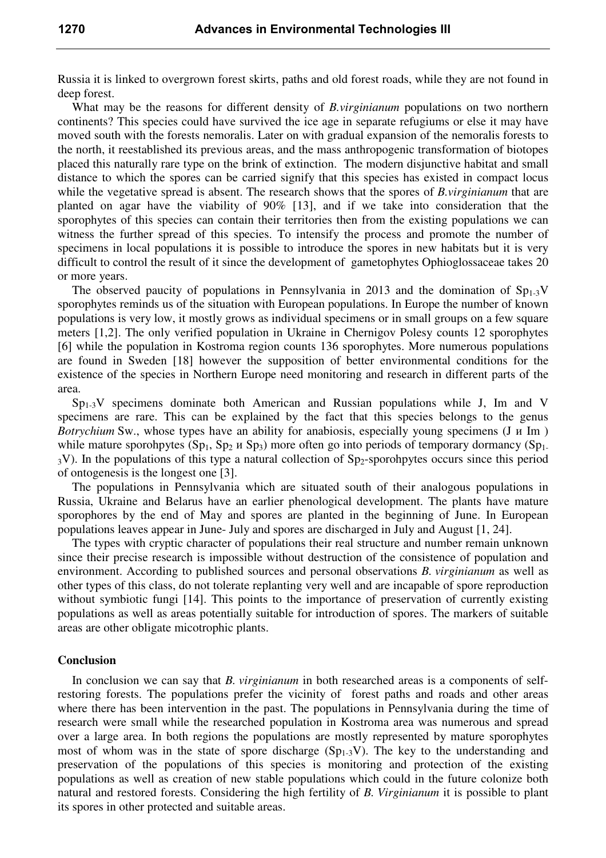Russia it is linked to overgrown forest skirts, paths and old forest roads, while they are not found in deep forest.

What may be the reasons for different density of *B.virginianum* populations on two northern continents? This species could have survived the ice age in separate refugiums or else it may have moved south with the forests nemoralis. Later on with gradual expansion of the nemoralis forests to the north, it reestablished its previous areas, and the mass anthropogenic transformation of biotopes placed this naturally rare type on the brink of extinction. The modern disjunctive habitat and small distance to which the spores can be carried signify that this species has existed in compact locus while the vegetative spread is absent. The research shows that the spores of *B.virginianum* that are planted on agar have the viability of 90% [13], and if we take into consideration that the sporophytes of this species can contain their territories then from the existing populations we can witness the further spread of this species. To intensify the process and promote the number of specimens in local populations it is possible to introduce the spores in new habitats but it is very difficult to control the result of it since the development of gametophytes Ophioglossaceae takes 20 or more years.

The observed paucity of populations in Pennsylvania in 2013 and the domination of  $Sp_{1-3}V$ sporophytes reminds us of the situation with European populations. In Europe the number of known populations is very low, it mostly grows as individual specimens or in small groups on a few square meters [1,2]. The only verified population in Ukraine in Chernigov Polesy counts 12 sporophytes [6] while the population in Kostroma region counts 136 sporophytes. More numerous populations are found in Sweden [18] however the supposition of better environmental conditions for the existence of the species in Northern Europe need monitoring and research in different parts of the area.

 $Sp_{1-3}V$  specimens dominate both American and Russian populations while J, Im and V specimens are rare. This can be explained by the fact that this species belongs to the genus *Botrychium* Sw., whose types have an ability for anabiosis, especially young specimens (J и Im ) while mature sporohpytes  $(Sp_1, Sp_2 \times Sp_3)$  more often go into periods of temporary dormancy  $(Sp_1, Sp_2 \times Sp_3)$ <sup>3</sup>V). In the populations of this type a natural collection of Sp2-sporohpytes occurs since this period of ontogenesis is the longest one [3].

The populations in Pennsylvania which are situated south of their analogous populations in Russia, Ukraine and Belarus have an earlier phenological development. The plants have mature sporophores by the end of May and spores are planted in the beginning of June. In European populations leaves appear in June- July and spores are discharged in July and August [1, 24].

The types with cryptic character of populations their real structure and number remain unknown since their precise research is impossible without destruction of the consistence of population and environment. According to published sources and personal observations *B. virginianum* as well as other types of this class, do not tolerate replanting very well and are incapable of spore reproduction without symbiotic fungi [14]. This points to the importance of preservation of currently existing populations as well as areas potentially suitable for introduction of spores. The markers of suitable areas are other obligate micotrophic plants.

### Conclusion

In conclusion we can say that *B. virginianum* in both researched areas is a components of selfrestoring forests. The populations prefer the vicinity of forest paths and roads and other areas where there has been intervention in the past. The populations in Pennsylvania during the time of research were small while the researched population in Kostroma area was numerous and spread over a large area. In both regions the populations are mostly represented by mature sporophytes most of whom was in the state of spore discharge  $(Sp_{1-3}V)$ . The key to the understanding and preservation of the populations of this species is monitoring and protection of the existing populations as well as creation of new stable populations which could in the future colonize both natural and restored forests. Considering the high fertility of *B. Virginianum* it is possible to plant its spores in other protected and suitable areas.